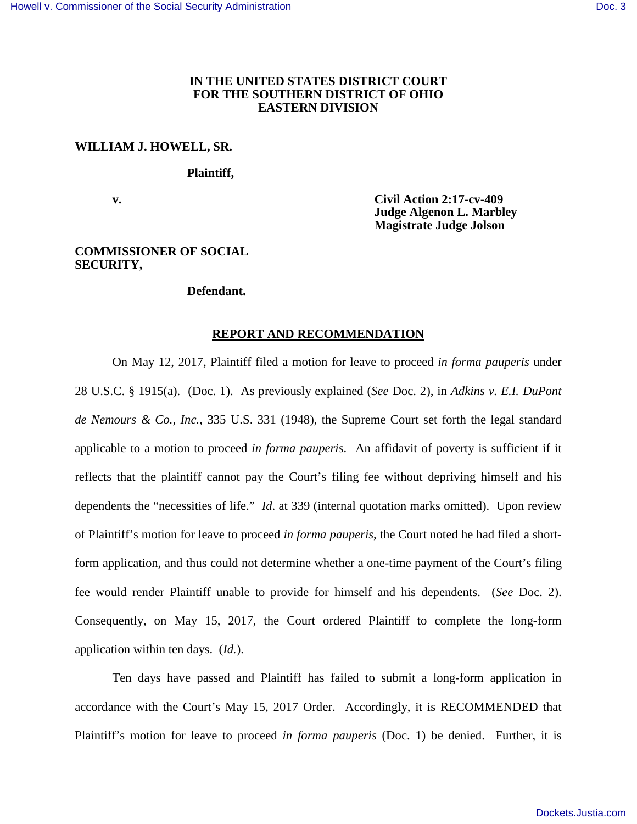# **IN THE UNITED STATES DISTRICT COURT FOR THE SOUTHERN DISTRICT OF OHIO EASTERN DIVISION**

# **WILLIAM J. HOWELL, SR.**

 **Plaintiff,**

 **v. Civil Action 2:17-cv-409 Judge Algenon L. Marbley Magistrate Judge Jolson** 

### **COMMISSIONER OF SOCIAL SECURITY,**

#### **Defendant.**

## **REPORT AND RECOMMENDATION**

On May 12, 2017, Plaintiff filed a motion for leave to proceed *in forma pauperis* under 28 U.S.C. § 1915(a). (Doc. 1). As previously explained (*See* Doc. 2), in *Adkins v. E.I. DuPont de Nemours & Co., Inc.*, 335 U.S. 331 (1948), the Supreme Court set forth the legal standard applicable to a motion to proceed *in forma pauperis*. An affidavit of poverty is sufficient if it reflects that the plaintiff cannot pay the Court's filing fee without depriving himself and his dependents the "necessities of life." *Id*. at 339 (internal quotation marks omitted). Upon review of Plaintiff's motion for leave to proceed *in forma pauperis*, the Court noted he had filed a shortform application, and thus could not determine whether a one-time payment of the Court's filing fee would render Plaintiff unable to provide for himself and his dependents. (*See* Doc. 2). Consequently, on May 15, 2017, the Court ordered Plaintiff to complete the long-form application within ten days. (*Id.*).

Ten days have passed and Plaintiff has failed to submit a long-form application in accordance with the Court's May 15, 2017 Order. Accordingly, it is RECOMMENDED that Plaintiff's motion for leave to proceed *in forma pauperis* (Doc. 1) be denied. Further, it is